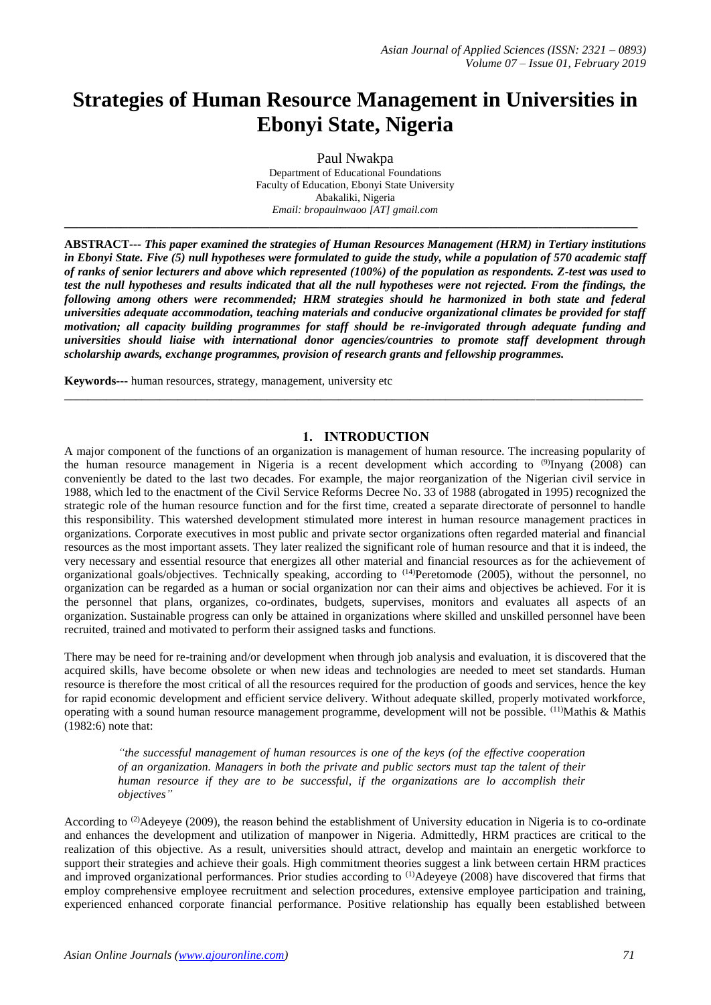# **Strategies of Human Resource Management in Universities in Ebonyi State, Nigeria**

Paul Nwakpa Department of Educational Foundations Faculty of Education, Ebonyi State University Abakaliki, Nigeria *Email: bropaulnwaoo [AT] gmail.com* **\_\_\_\_\_\_\_\_\_\_\_\_\_\_\_\_\_\_\_\_\_\_\_\_\_\_\_\_\_\_\_\_\_\_\_\_\_\_\_\_\_\_\_\_\_\_\_\_\_\_\_\_\_\_\_\_\_\_\_\_\_\_\_\_\_\_\_\_\_\_\_\_\_\_\_\_\_\_\_\_\_**

**ABSTRACT---** *This paper examined the strategies of Human Resources Management (HRM) in Tertiary institutions in Ebonyi State. Five (5) null hypotheses were formulated to guide the study, while a population of 570 academic staff of ranks of senior lecturers and above which represented (100%) of the population as respondents. Z-test was used to test the null hypotheses and results indicated that all the null hypotheses were not rejected. From the findings, the following among others were recommended; HRM strategies should he harmonized in both state and federal universities adequate accommodation, teaching materials and conducive organizational climates be provided for staff motivation; all capacity building programmes for staff should be re-invigorated through adequate funding and universities should liaise with international donor agencies/countries to promote staff development through scholarship awards, exchange programmes, provision of research grants and fellowship programmes.*

 $\_$  ,  $\_$  ,  $\_$  ,  $\_$  ,  $\_$  ,  $\_$  ,  $\_$  ,  $\_$  ,  $\_$  ,  $\_$  ,  $\_$  ,  $\_$  ,  $\_$  ,  $\_$  ,  $\_$  ,  $\_$  ,  $\_$  ,  $\_$  ,  $\_$  ,  $\_$  ,  $\_$  ,  $\_$  ,  $\_$  ,  $\_$  ,  $\_$  ,  $\_$  ,  $\_$  ,  $\_$  ,  $\_$  ,  $\_$  ,  $\_$  ,  $\_$  ,  $\_$  ,  $\_$  ,  $\_$  ,  $\_$  ,  $\_$  ,

**Keywords---** human resources, strategy, management, university etc

# **1. INTRODUCTION**

A major component of the functions of an organization is management of human resource. The increasing popularity of the human resource management in Nigeria is a recent development which according to (9)Inyang (2008) can conveniently be dated to the last two decades. For example, the major reorganization of the Nigerian civil service in 1988, which led to the enactment of the Civil Service Reforms Decree No. 33 of 1988 (abrogated in 1995) recognized the strategic role of the human resource function and for the first time, created a separate directorate of personnel to handle this responsibility. This watershed development stimulated more interest in human resource management practices in organizations. Corporate executives in most public and private sector organizations often regarded material and financial resources as the most important assets. They later realized the significant role of human resource and that it is indeed, the very necessary and essential resource that energizes all other material and financial resources as for the achievement of organizational goals/objectives. Technically speaking, according to (14)Peretomode (2005), without the personnel, no organization can be regarded as a human or social organization nor can their aims and objectives be achieved. For it is the personnel that plans, organizes, co-ordinates, budgets, supervises, monitors and evaluates all aspects of an organization. Sustainable progress can only be attained in organizations where skilled and unskilled personnel have been recruited, trained and motivated to perform their assigned tasks and functions.

There may be need for re-training and/or development when through job analysis and evaluation, it is discovered that the acquired skills, have become obsolete or when new ideas and technologies are needed to meet set standards. Human resource is therefore the most critical of all the resources required for the production of goods and services, hence the key for rapid economic development and efficient service delivery. Without adequate skilled, properly motivated workforce, operating with a sound human resource management programme, development will not be possible. (11)Mathis & Mathis (1982:6) note that:

*"the successful management of human resources is one of the keys (of the effective cooperation of an organization. Managers in both the private and public sectors must tap the talent of their human resource if they are to be successful, if the organizations are lo accomplish their objectives"*

According to  $^{(2)}$ Adeyeye (2009), the reason behind the establishment of University education in Nigeria is to co-ordinate and enhances the development and utilization of manpower in Nigeria. Admittedly, HRM practices are critical to the realization of this objective. As a result, universities should attract, develop and maintain an energetic workforce to support their strategies and achieve their goals. High commitment theories suggest a link between certain HRM practices and improved organizational performances. Prior studies according to <sup>(1)</sup>Adeyeye (2008) have discovered that firms that employ comprehensive employee recruitment and selection procedures, extensive employee participation and training, experienced enhanced corporate financial performance. Positive relationship has equally been established between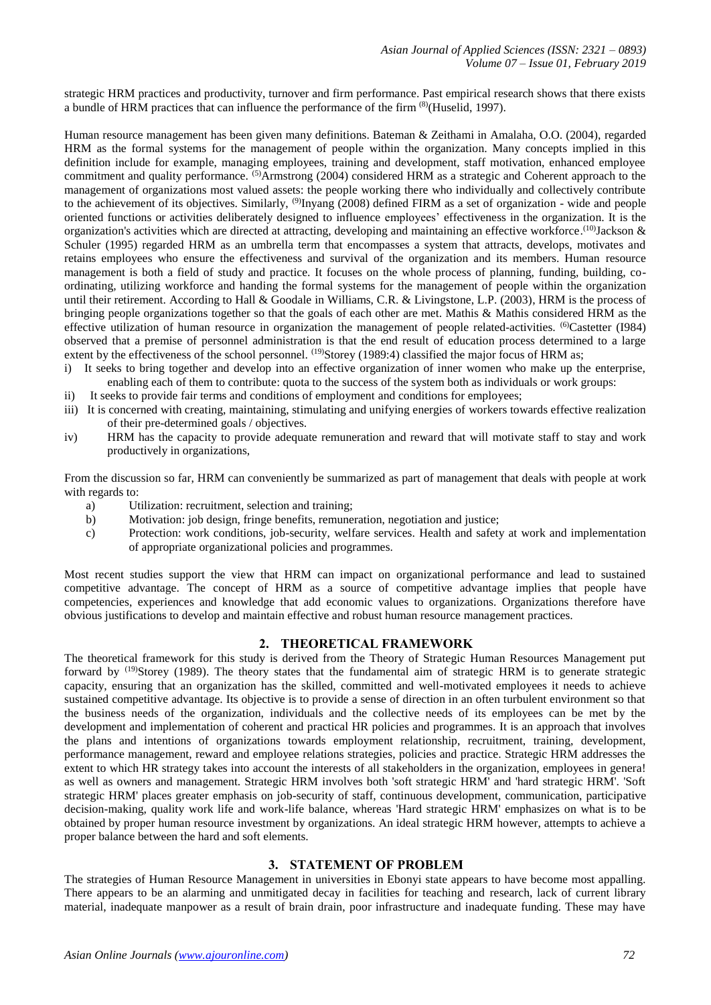strategic HRM practices and productivity, turnover and firm performance. Past empirical research shows that there exists a bundle of HRM practices that can influence the performance of the firm (8)(Huselid, 1997).

Human resource management has been given many definitions. Bateman & Zeithami in Amalaha, O.O. (2004), regarded HRM as the formal systems for the management of people within the organization. Many concepts implied in this definition include for example, managing employees, training and development, staff motivation, enhanced employee commitment and quality performance. <sup>(5)</sup>Armstrong (2004) considered HRM as a strategic and Coherent approach to the management of organizations most valued assets: the people working there who individually and collectively contribute to the achievement of its objectives. Similarly, <sup>(9)</sup>Inyang (2008) defined FIRM as a set of organization - wide and people oriented functions or activities deliberately designed to influence employees' effectiveness in the organization. It is the organization's activities which are directed at attracting, developing and maintaining an effective workforce.<sup>(10)</sup>Jackson & Schuler (1995) regarded HRM as an umbrella term that encompasses a system that attracts, develops, motivates and retains employees who ensure the effectiveness and survival of the organization and its members. Human resource management is both a field of study and practice. It focuses on the whole process of planning, funding, building, coordinating, utilizing workforce and handing the formal systems for the management of people within the organization until their retirement. According to Hall & Goodale in Williams, C.R. & Livingstone, L.P. (2003), HRM is the process of bringing people organizations together so that the goals of each other are met. Mathis & Mathis considered HRM as the effective utilization of human resource in organization the management of people related-activities. <sup>(6)</sup>Castetter (I984) observed that a premise of personnel administration is that the end result of education process determined to a large extent by the effectiveness of the school personnel. <sup>(19)</sup>Storey (1989:4) classified the major focus of HRM as;

- i) It seeks to bring together and develop into an effective organization of inner women who make up the enterprise, enabling each of them to contribute: quota to the success of the system both as individuals or work groups:
- ii) It seeks to provide fair terms and conditions of employment and conditions for employees;
- iii) It is concerned with creating, maintaining, stimulating and unifying energies of workers towards effective realization of their pre-determined goals / objectives.
- iv) HRM has the capacity to provide adequate remuneration and reward that will motivate staff to stay and work productively in organizations,

From the discussion so far, HRM can conveniently be summarized as part of management that deals with people at work with regards to:

- a) Utilization: recruitment, selection and training;
- b) Motivation: job design, fringe benefits, remuneration, negotiation and justice;
- c) Protection: work conditions, job-security, welfare services. Health and safety at work and implementation of appropriate organizational policies and programmes.

Most recent studies support the view that HRM can impact on organizational performance and lead to sustained competitive advantage. The concept of HRM as a source of competitive advantage implies that people have competencies, experiences and knowledge that add economic values to organizations. Organizations therefore have obvious justifications to develop and maintain effective and robust human resource management practices.

## **2. THEORETICAL FRAMEWORK**

The theoretical framework for this study is derived from the Theory of Strategic Human Resources Management put forward by <sup>(19)</sup>Storey (1989). The theory states that the fundamental aim of strategic HRM is to generate strategic capacity, ensuring that an organization has the skilled, committed and well-motivated employees it needs to achieve sustained competitive advantage. Its objective is to provide a sense of direction in an often turbulent environment so that the business needs of the organization, individuals and the collective needs of its employees can be met by the development and implementation of coherent and practical HR policies and programmes. It is an approach that involves the plans and intentions of organizations towards employment relationship, recruitment, training, development, performance management, reward and employee relations strategies, policies and practice. Strategic HRM addresses the extent to which HR strategy takes into account the interests of all stakeholders in the organization, employees in genera! as well as owners and management. Strategic HRM involves both 'soft strategic HRM' and 'hard strategic HRM'. 'Soft strategic HRM' places greater emphasis on job-security of staff, continuous development, communication, participative decision-making, quality work life and work-life balance, whereas 'Hard strategic HRM' emphasizes on what is to be obtained by proper human resource investment by organizations. An ideal strategic HRM however, attempts to achieve a proper balance between the hard and soft elements.

## **3. STATEMENT OF PROBLEM**

The strategies of Human Resource Management in universities in Ebonyi state appears to have become most appalling. There appears to be an alarming and unmitigated decay in facilities for teaching and research, lack of current library material, inadequate manpower as a result of brain drain, poor infrastructure and inadequate funding. These may have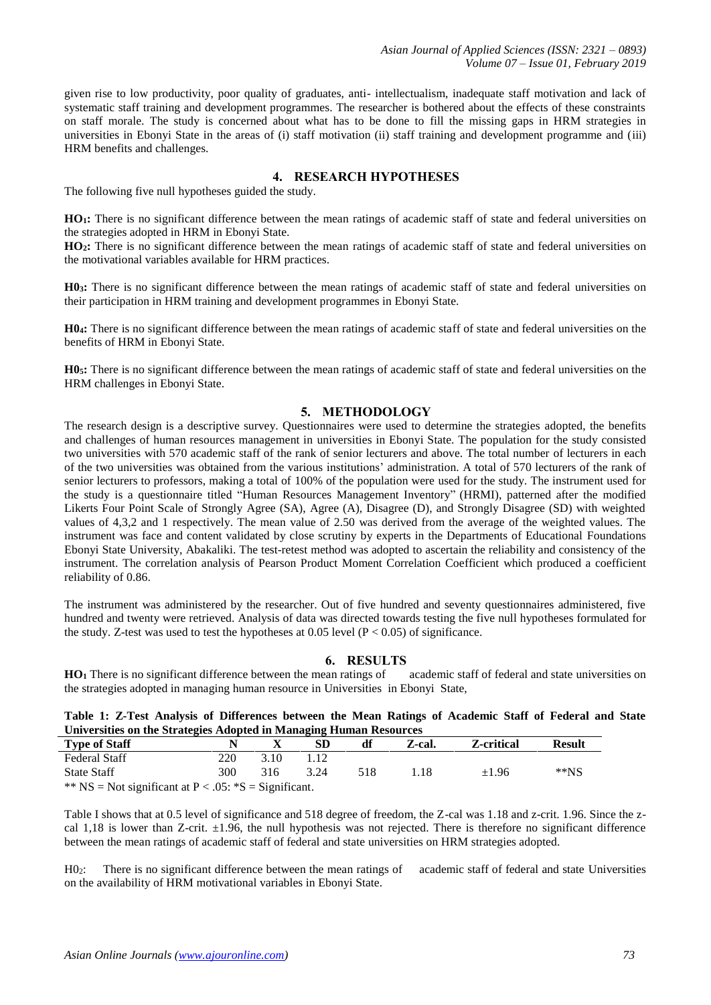given rise to low productivity, poor quality of graduates, anti- intellectualism, inadequate staff motivation and lack of systematic staff training and development programmes. The researcher is bothered about the effects of these constraints on staff morale. The study is concerned about what has to be done to fill the missing gaps in HRM strategies in universities in Ebonyi State in the areas of (i) staff motivation (ii) staff training and development programme and (iii) HRM benefits and challenges.

# **4. RESEARCH HYPOTHESES**

The following five null hypotheses guided the study.

**HO1:** There is no significant difference between the mean ratings of academic staff of state and federal universities on the strategies adopted in HRM in Ebonyi State.

**HO2:** There is no significant difference between the mean ratings of academic staff of state and federal universities on the motivational variables available for HRM practices.

**H03:** There is no significant difference between the mean ratings of academic staff of state and federal universities on their participation in HRM training and development programmes in Ebonyi State.

**H04:** There is no significant difference between the mean ratings of academic staff of state and federal universities on the benefits of HRM in Ebonyi State.

**H05:** There is no significant difference between the mean ratings of academic staff of state and federal universities on the HRM challenges in Ebonyi State.

## **5. METHODOLOGY**

The research design is a descriptive survey. Questionnaires were used to determine the strategies adopted, the benefits and challenges of human resources management in universities in Ebonyi State. The population for the study consisted two universities with 570 academic staff of the rank of senior lecturers and above. The total number of lecturers in each of the two universities was obtained from the various institutions' administration. A total of 570 lecturers of the rank of senior lecturers to professors, making a total of 100% of the population were used for the study. The instrument used for the study is a questionnaire titled "Human Resources Management Inventory" (HRMI), patterned after the modified Likerts Four Point Scale of Strongly Agree (SA), Agree (A), Disagree (D), and Strongly Disagree (SD) with weighted values of 4,3,2 and 1 respectively. The mean value of 2.50 was derived from the average of the weighted values. The instrument was face and content validated by close scrutiny by experts in the Departments of Educational Foundations Ebonyi State University, Abakaliki. The test-retest method was adopted to ascertain the reliability and consistency of the instrument. The correlation analysis of Pearson Product Moment Correlation Coefficient which produced a coefficient reliability of 0.86.

The instrument was administered by the researcher. Out of five hundred and seventy questionnaires administered, five hundred and twenty were retrieved. Analysis of data was directed towards testing the five null hypotheses formulated for the study. Z-test was used to test the hypotheses at  $0.05$  level (P < 0.05) of significance.

# **6. RESULTS**

**HO<sup>1</sup>** There is no significant difference between the mean ratings of academic staff of federal and state universities on the strategies adopted in managing human resource in Universities in Ebonyi State,

**Table 1: Z-Test Analysis of Differences between the Mean Ratings of Academic Staff of Federal and State Universities on the Strategies Adopted in Managing Human Resources**

| <b>Type of Staff</b>                                     |     |      | SD   | df  | Z-cal. | <b>Z</b> -critical | <b>Result</b> |  |  |  |
|----------------------------------------------------------|-----|------|------|-----|--------|--------------------|---------------|--|--|--|
| <b>Federal Staff</b>                                     | 220 | 3.10 |      |     |        |                    |               |  |  |  |
| <b>State Staff</b>                                       | 300 | 316  | 3.24 | 518 | 1.18   | ±1.96              | $*$ $NS$      |  |  |  |
| ** NS = Not significant at $P < .05$ : *S = Significant. |     |      |      |     |        |                    |               |  |  |  |

Table I shows that at 0.5 level of significance and 518 degree of freedom, the Z-cal was 1.18 and z-crit. 1.96. Since the zcal 1,18 is lower than Z-crit.  $\pm 1.96$ , the null hypothesis was not rejected. There is therefore no significant difference between the mean ratings of academic staff of federal and state universities on HRM strategies adopted.

H02: There is no significant difference between the mean ratings of academic staff of federal and state Universities on the availability of HRM motivational variables in Ebonyi State.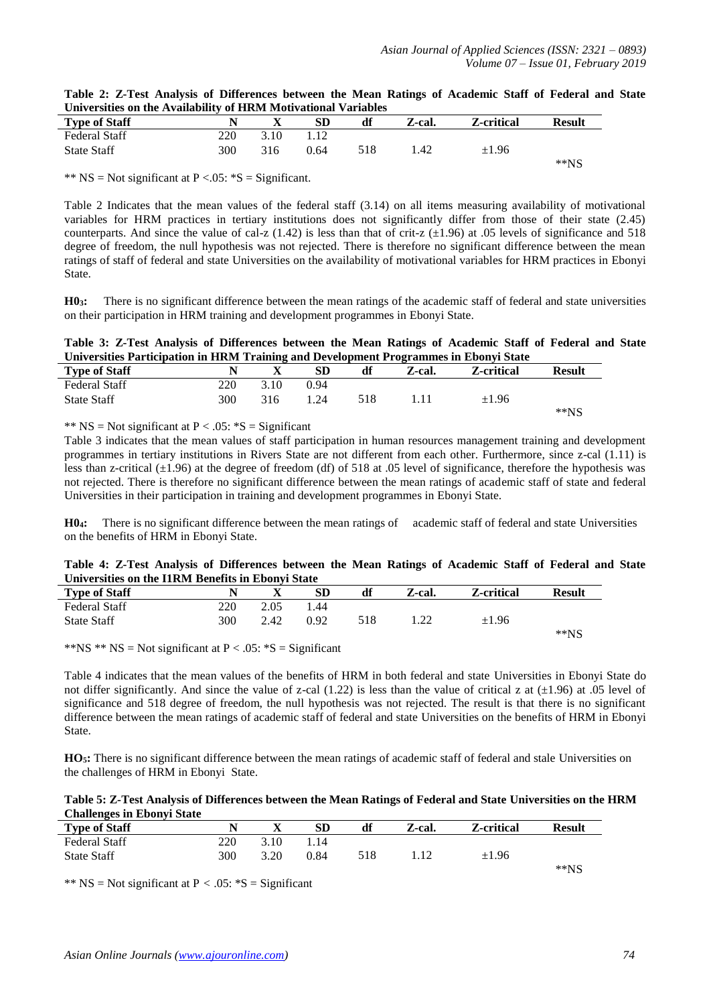| Table 2: Z-Test Analysis of Differences between the Mean Ratings of Academic Staff of Federal and State |  |  |  |  |  |
|---------------------------------------------------------------------------------------------------------|--|--|--|--|--|
| Universities on the Availability of HRM Motivational Variables                                          |  |  |  |  |  |

| <b>Type of Staff</b> |     | л    | SD   | df  | Z-cal. | Z-critical | <b>Result</b> |
|----------------------|-----|------|------|-----|--------|------------|---------------|
| <b>Federal Staff</b> | 220 | 3.10 | 1.12 |     |        |            |               |
| <b>State Staff</b>   | 300 | 316  | 0.64 | 518 | .42    | $\pm 1.96$ |               |
|                      |     |      |      |     |        |            | $*$ $NS$      |

\*\*  $NS = Not$  significant at  $P < .05$ : \*S = Significant.

Table 2 Indicates that the mean values of the federal staff (3.14) on all items measuring availability of motivational variables for HRM practices in tertiary institutions does not significantly differ from those of their state (2.45) counterparts. And since the value of cal-z (1.42) is less than that of crit-z  $(\pm 1.96)$  at .05 levels of significance and 518 degree of freedom, the null hypothesis was not rejected. There is therefore no significant difference between the mean ratings of staff of federal and state Universities on the availability of motivational variables for HRM practices in Ebonyi State.

**H03:** There is no significant difference between the mean ratings of the academic staff of federal and state universities on their participation in HRM training and development programmes in Ebonyi State.

**Table 3: Z-Test Analysis of Differences between the Mean Ratings of Academic Staff of Federal and State Universities Participation in HRM Training and Development Programmes in Ebonyi State**

| <b>Type of Staff</b> |     |      | SD          | df  | Z-cal. | <b>Z-critical</b> | <b>Result</b> |
|----------------------|-----|------|-------------|-----|--------|-------------------|---------------|
| <b>Federal Staff</b> | 220 | 3.10 | 0.94        |     |        |                   |               |
| <b>State Staff</b>   | 300 | 316  | $\cdot$ .24 | 518 |        | $\pm 1.96$        |               |
|                      |     |      |             |     |        |                   | $*$ $NS$      |

\*\*  $NS = Not$  significant at  $P < .05$ : \*S = Significant

Table 3 indicates that the mean values of staff participation in human resources management training and development programmes in tertiary institutions in Rivers State are not different from each other. Furthermore, since z-cal (1.11) is less than z-critical  $(\pm 1.96)$  at the degree of freedom (df) of 518 at .05 level of significance, therefore the hypothesis was not rejected. There is therefore no significant difference between the mean ratings of academic staff of state and federal Universities in their participation in training and development programmes in Ebonyi State.

**H04:** There is no significant difference between the mean ratings of academic staff of federal and state Universities on the benefits of HRM in Ebonyi State.

| Table 4: Z-Test Analysis of Differences between the Mean Ratings of Academic Staff of Federal and State |  |  |  |  |  |  |  |
|---------------------------------------------------------------------------------------------------------|--|--|--|--|--|--|--|
| Universities on the I1RM Benefits in Ebonyi State                                                       |  |  |  |  |  |  |  |

|                      |     |      | .    |     |        |                    |               |
|----------------------|-----|------|------|-----|--------|--------------------|---------------|
| <b>Type of Staff</b> |     |      | SD   | df  | Z-cal. | <b>Z</b> -critical | <b>Result</b> |
| <b>Federal Staff</b> | 220 | 2.05 | 1.44 |     |        |                    |               |
| <b>State Staff</b>   | 300 | 2.42 | 0.92 | 518 | .      | $\pm 1.96$         |               |
|                      |     |      |      |     |        |                    | $**NS$        |

\*\*NS \*\* NS = Not significant at  $P < .05$ : \*S = Significant

Table 4 indicates that the mean values of the benefits of HRM in both federal and state Universities in Ebonyi State do not differ significantly. And since the value of z-cal (1.22) is less than the value of critical z at  $(\pm 1.96)$  at .05 level of significance and 518 degree of freedom, the null hypothesis was not rejected. The result is that there is no significant difference between the mean ratings of academic staff of federal and state Universities on the benefits of HRM in Ebonyi State.

HO<sub>5</sub>: There is no significant difference between the mean ratings of academic staff of federal and stale Universities on the challenges of HRM in Ebonyi State.

| Table 5: Z-Test Analysis of Differences between the Mean Ratings of Federal and State Universities on the HRM |  |
|---------------------------------------------------------------------------------------------------------------|--|
| <b>Challenges in Ebonyi State</b>                                                                             |  |

| <b>Type of Staff</b> |     | $\Lambda$ | <b>SD</b> | df  | Z-cal. | Z-critical | Result   |
|----------------------|-----|-----------|-----------|-----|--------|------------|----------|
| <b>Federal Staff</b> | 220 | 3.10      | 1.14      |     |        |            |          |
| <b>State Staff</b>   | 300 | 3.20      | 0.84      | 518 |        | $\pm 1.96$ |          |
|                      |     |           |           |     |        |            | $*$ $NS$ |

\*\*  $NS = Not$  significant at  $P < .05$ : \*S = Significant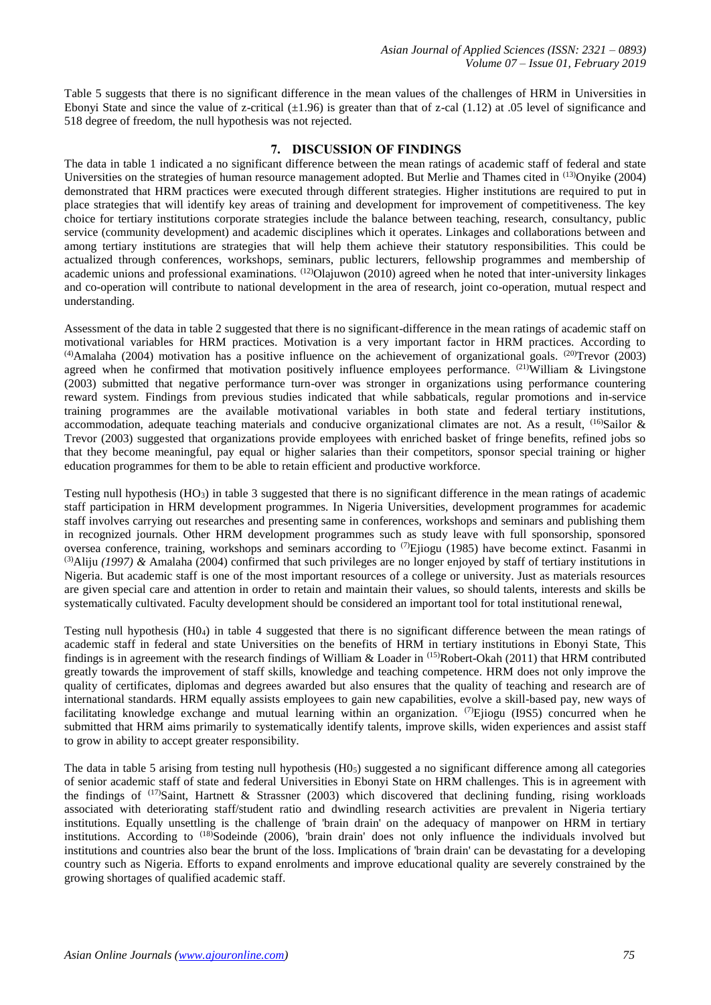Table 5 suggests that there is no significant difference in the mean values of the challenges of HRM in Universities in Ebonyi State and since the value of z-critical  $(\pm 1.96)$  is greater than that of z-cal (1.12) at .05 level of significance and 518 degree of freedom, the null hypothesis was not rejected.

# **7. DISCUSSION OF FINDINGS**

The data in table 1 indicated a no significant difference between the mean ratings of academic staff of federal and state Universities on the strategies of human resource management adopted. But Merlie and Thames cited in (13)Onyike (2004) demonstrated that HRM practices were executed through different strategies. Higher institutions are required to put in place strategies that will identify key areas of training and development for improvement of competitiveness. The key choice for tertiary institutions corporate strategies include the balance between teaching, research, consultancy, public service (community development) and academic disciplines which it operates. Linkages and collaborations between and among tertiary institutions are strategies that will help them achieve their statutory responsibilities. This could be actualized through conferences, workshops, seminars, public lecturers, fellowship programmes and membership of academic unions and professional examinations. <sup>(12)</sup>Olajuwon (2010) agreed when he noted that inter-university linkages and co-operation will contribute to national development in the area of research, joint co-operation, mutual respect and understanding.

Assessment of the data in table 2 suggested that there is no significant-difference in the mean ratings of academic staff on motivational variables for HRM practices. Motivation is a very important factor in HRM practices. According to  $(4)$ Amalaha (2004) motivation has a positive influence on the achievement of organizational goals.  $(20)$ Trevor (2003) agreed when he confirmed that motivation positively influence employees performance. (21)William & Livingstone (2003) submitted that negative performance turn-over was stronger in organizations using performance countering reward system. Findings from previous studies indicated that while sabbaticals, regular promotions and in-service training programmes are the available motivational variables in both state and federal tertiary institutions, accommodation, adequate teaching materials and conducive organizational climates are not. As a result,  $(16)$ Sailor & Trevor (2003) suggested that organizations provide employees with enriched basket of fringe benefits, refined jobs so that they become meaningful, pay equal or higher salaries than their competitors, sponsor special training or higher education programmes for them to be able to retain efficient and productive workforce.

Testing null hypothesis  $(HO<sub>3</sub>)$  in table 3 suggested that there is no significant difference in the mean ratings of academic staff participation in HRM development programmes. In Nigeria Universities, development programmes for academic staff involves carrying out researches and presenting same in conferences, workshops and seminars and publishing them in recognized journals. Other HRM development programmes such as study leave with full sponsorship, sponsored oversea conference, training, workshops and seminars according to <sup>(7)</sup>Ejiogu (1985) have become extinct. Fasanmi in <sup>(3)</sup>Aliju *(1997)* & Amalaha (2004) confirmed that such privileges are no longer enjoyed by staff of tertiary institutions in Nigeria. But academic staff is one of the most important resources of a college or university. Just as materials resources are given special care and attention in order to retain and maintain their values, so should talents, interests and skills be systematically cultivated. Faculty development should be considered an important tool for total institutional renewal,

Testing null hypothesis (H04) in table 4 suggested that there is no significant difference between the mean ratings of academic staff in federal and state Universities on the benefits of HRM in tertiary institutions in Ebonyi State, This findings is in agreement with the research findings of William & Loader in (15)Robert-Okah (2011) that HRM contributed greatly towards the improvement of staff skills, knowledge and teaching competence. HRM does not only improve the quality of certificates, diplomas and degrees awarded but also ensures that the quality of teaching and research are of international standards. HRM equally assists employees to gain new capabilities, evolve a skill-based pay, new ways of facilitating knowledge exchange and mutual learning within an organization. (7)Ejiogu (I9S5) concurred when he submitted that HRM aims primarily to systematically identify talents, improve skills, widen experiences and assist staff to grow in ability to accept greater responsibility.

The data in table 5 arising from testing null hypothesis  $(H0<sub>5</sub>)$  suggested a no significant difference among all categories of senior academic staff of state and federal Universities in Ebonyi State on HRM challenges. This is in agreement with the findings of  $(17)$ Saint, Hartnett & Strassner (2003) which discovered that declining funding, rising workloads associated with deteriorating staff/student ratio and dwindling research activities are prevalent in Nigeria tertiary institutions. Equally unsettling is the challenge of 'brain drain' on the adequacy of manpower on HRM in tertiary institutions. According to <sup>(18)</sup>Sodeinde (2006), 'brain drain' does not only influence the individuals involved but institutions and countries also bear the brunt of the loss. Implications of 'brain drain' can be devastating for a developing country such as Nigeria. Efforts to expand enrolments and improve educational quality are severely constrained by the growing shortages of qualified academic staff.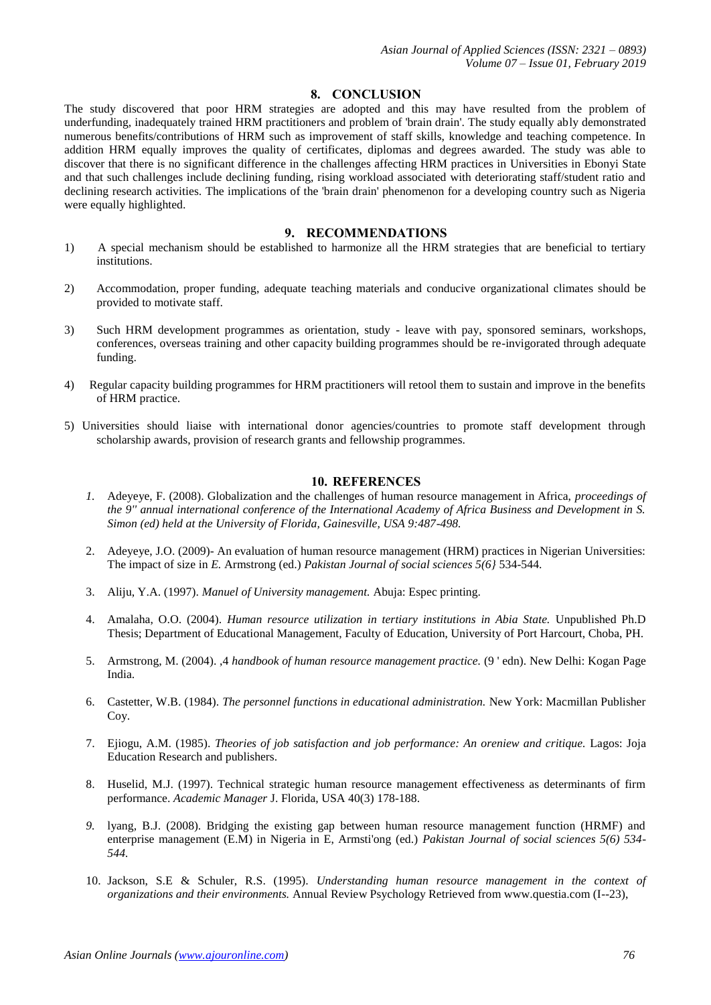#### **8. CONCLUSION**

The study discovered that poor HRM strategies are adopted and this may have resulted from the problem of underfunding, inadequately trained HRM practitioners and problem of 'brain drain'. The study equally ably demonstrated numerous benefits/contributions of HRM such as improvement of staff skills, knowledge and teaching competence. In addition HRM equally improves the quality of certificates, diplomas and degrees awarded. The study was able to discover that there is no significant difference in the challenges affecting HRM practices in Universities in Ebonyi State and that such challenges include declining funding, rising workload associated with deteriorating staff/student ratio and declining research activities. The implications of the 'brain drain' phenomenon for a developing country such as Nigeria were equally highlighted.

# **9. RECOMMENDATIONS**

- 1) A special mechanism should be established to harmonize all the HRM strategies that are beneficial to tertiary institutions.
- 2) Accommodation, proper funding, adequate teaching materials and conducive organizational climates should be provided to motivate staff.
- 3) Such HRM development programmes as orientation, study leave with pay, sponsored seminars, workshops, conferences, overseas training and other capacity building programmes should be re-invigorated through adequate funding.
- 4) Regular capacity building programmes for HRM practitioners will retool them to sustain and improve in the benefits of HRM practice.
- 5) Universities should liaise with international donor agencies/countries to promote staff development through scholarship awards, provision of research grants and fellowship programmes.

#### **10. REFERENCES**

- *1.* Adeyeye, F. (2008). Globalization and the challenges of human resource management in Africa, *proceedings of the 9'' annual international conference of the International Academy of Africa Business and Development in S. Simon (ed) held at the University of Florida, Gainesville, USA 9:487-498.*
- 2. Adeyeye, J.O. (2009)- An evaluation of human resource management (HRM) practices in Nigerian Universities: The impact of size in *E.* Armstrong (ed.) *Pakistan Journal of social sciences 5(6}* 534-544.
- 3. Aliju, Y.A. (1997). *Manuel of University management.* Abuja: Espec printing.
- 4. Amalaha, O.O. (2004). *Human resource utilization in tertiary institutions in Abia State.* Unpublished Ph.D Thesis; Department of Educational Management, Faculty of Education, University of Port Harcourt, Choba, PH.
- 5. Armstrong, M. (2004). ,4 *handbook of human resource management practice.* (9 ' edn). New Delhi: Kogan Page India.
- 6. Castetter, W.B. (1984). *The personnel functions in educational administration.* New York: Macmillan Publisher Coy.
- 7. Ejiogu, A.M. (1985). *Theories of job satisfaction and job performance: An oreniew and critique.* Lagos: Joja Education Research and publishers.
- 8. Huselid, M.J. (1997). Technical strategic human resource management effectiveness as determinants of firm performance. *Academic Manager* J. Florida, USA 40(3) 178-188.
- *9.* lyang, B.J. (2008). Bridging the existing gap between human resource management function (HRMF) and enterprise management (E.M) in Nigeria in E, Armsti'ong (ed.) *Pakistan Journal of social sciences 5(6) 534- 544.*
- 10. Jackson, S.E & Schuler, R.S. (1995). *Understanding human resource management in the context of organizations and their environments.* Annual Review Psychology Retrieved from www.questia.com (I--23),